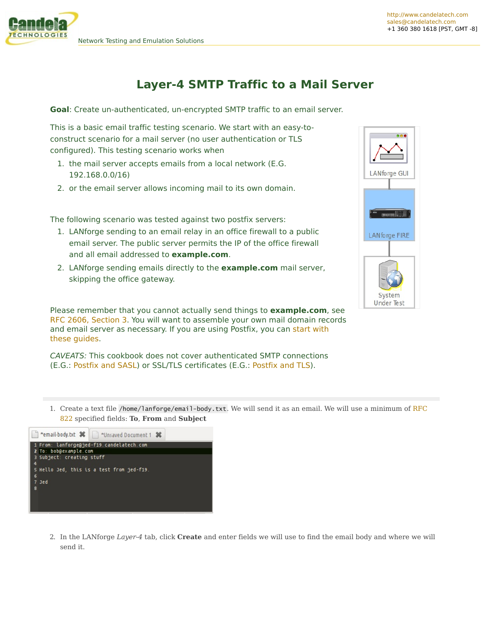## **Layer-4 SMTP Traffic to a Mail Server**

**Goal**: Create un-authenticated, un-encrypted SMTP traffic to an email server.

This is a basic email traffic testing scenario. We start with an easy-toconstruct scenario for a mail server (no user authentication or TLS configured). This testing scenario works when

- 1. the mail server accepts emails from a local network (E.G. 192.168.0.0/16)
- 2. or the email server allows incoming mail to its own domain.

The following scenario was tested against two postfix servers:

- 1. LANforge sending to an email relay in an office firewall to a public email server. The public server permits the IP of the office firewall and all email addressed to **example.com**.
- 2. LANforge sending emails directly to the **example.com** mail server, skipping the office gateway.

Please remember that you cannot actually send things to **example.com**, see RFC 2606, [Section](https://tools.ietf.org/html/rfc2606) 3. You will want to assemble your own mail domain records and email server as [necessary.](http://www.postfix.org/STANDARD_CONFIGURATION_README.html) If you are using Postfix, you can start with these guides.

CAVEATS: This cookbook does not cover authenticated SMTP connections (E.G.: [Postfix](http://www.postfix.org/SASL_README.html) and SASL) or SSL/TLS certificates (E.G.: [Postfix](http://www.postfix.org/TLS_README.html) and TLS).

LANforge GUI **TRESPONDENCE LANforge FIRE** System Under Test

1. Create a text file [/home/lanforge/email-body.txt](http://www.w3.org/Protocols/rfc822/). We will send it as an email. We will use a minimum of RFC 822 specified fields: **To**, **From** and **Subject**



2. In the LANforge *Layer-4* tab, click **Create** and enter fields we will use to find the email body and where we will send it.